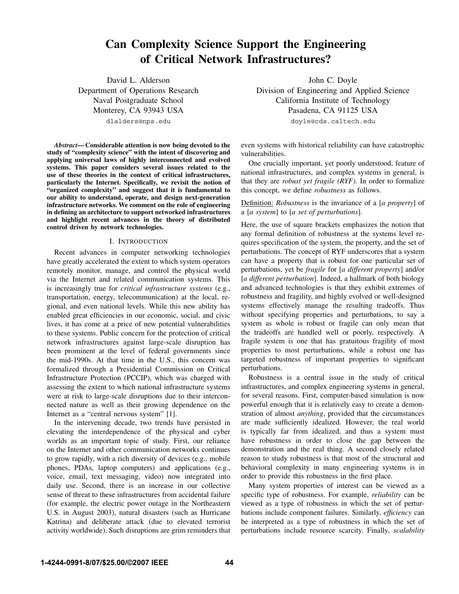# **Can Complexity Science Support the Engineering of Critical Network Infrastructures?**

David L. Alderson Department of Operations Research Naval Postgraduate School Monterey, CA 93943 USA dlalders@nps.edu

*Abstract***— Considerable attention is now being devoted to the study of "complexity science" with the intent of discovering and applying universal laws of highly interconnected and evolved systems. This paper considers several issues related to the use of these theories in the context of critical infrastructures, particularly the Internet. Specifically, we revisit the notion of "organized complexity" and suggest that it is fundamental to our ability to understand, operate, and design next-generation infrastructure networks. We comment on the role of engineering in defining an architecture to support networked infrastructures and highlight recent advances in the theory of distributed control driven by network technologies.**

#### I. INTRODUCTION

Recent advances in computer networking technologies have greatly accelerated the extent to which system operators remotely monitor, manage, and control the physical world via the Internet and related communication systems. This is increasingly true for *critical infrastructure systems* (e.g., transportation, energy, telecommunication) at the local, regional, and even national levels. While this new ability has enabled great efficiencies in our economic, social, and civic lives, it has come at a price of new potential vulnerabilities to these systems. Public concern for the protection of critical network infrastructures against large-scale disruption has been prominent at the level of federal governments since the mid-1990s. At that time in the U.S., this concern was formalized through a Presidential Commission on Critical Infrastructure Protection (PCCIP), which was charged with assessing the extent to which national infrastructure systems were at risk to large-scale disruptions due to their interconnected nature as well as their growing dependence on the Internet as a "central nervous system" [1].

In the intervening decade, two trends have persisted in elevating the interdependence of the physical and cyber worlds as an important topic of study. First, our reliance on the Internet and other communication networks continues to grow rapidly, with a rich diversity of devices (e.g., mobile phones, PDAs, laptop computers) and applications (e.g., voice, email, text messaging, video) now integrated into daily use. Second, there is an increase in our collective sense of threat to these infrastructures from accidental failure (for example, the electric power outage in the Northeastern U.S. in August 2003), natural disasters (such as Hurricane Katrina) and deliberate attack (due to elevated terrorist activity worldwide). Such disruptions are grim reminders that

John C. Doyle Division of Engineering and Applied Science California Institute of Technology Pasadena, CA 91125 USA doyle@cds.caltech.edu

even systems with historical reliability can have catastrophic vulnerabilities.

One crucially important, yet poorly understood, feature of national infrastructures, and complex systems in general, is that they are *robust yet fragile (RYF)*. In order to formalize this concept, we define *robustness* as follows.

Definition: *Robustness* is the invariance of a [*a property*] of a [*a system*] to [*a set of perturbations*].

Here, the use of square brackets emphasizes the notion that any formal definition of robustness at the systems level requires specification of the system, the property, and the set of perturbations. The concept of RYF underscores that a system can have a property that is robust for one particular set of perturbations, yet be *fragile* for [*a different property*] and/or [*a different perturbation*]. Indeed, a hallmark of both biology and advanced technologies is that they exhibit extremes of robustness and fragility, and highly evolved or well-designed systems effectively manage the resulting tradeoffs. Thus without specifying properties and perturbations, to say a system as whole is robust or fragile can only mean that the tradeoffs are handled well or poorly, respectively. A fragile system is one that has gratuitous fragility of most properties to most perturbations, while a robust one has targeted robustness of important properties to significant perturbations.

Robustness is a central issue in the study of critical infrastructures, and complex engineering systems in general, for several reasons. First, computer-based simulation is now powerful enough that it is relatively easy to create a demonstration of almost *anything*, provided that the circumstances are made sufficiently idealized. However, the real world is typically far from idealized, and thus a system must have robustness in order to close the gap between the demonstration and the real thing. A second closely related reason to study robustness is that most of the structural and behavioral complexity in many engineering systems is in order to provide this robustness in the first place.

Many system properties of interest can be viewed as a specific type of robustness. For example, *reliability* can be viewed as a type of robustness in which the set of perturbations include component failures. Similarly, *efficiency* can be interpreted as a type of robustness in which the set of perturbations include resource scarcity. Finally, *scalability*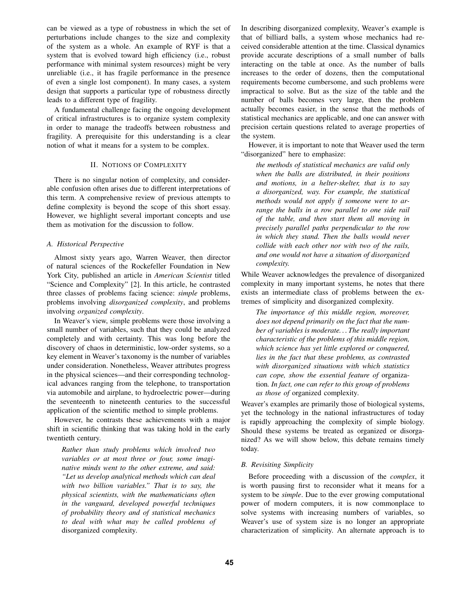can be viewed as a type of robustness in which the set of perturbations include changes to the size and complexity of the system as a whole. An example of RYF is that a system that is evolved toward high efficiency (i.e., robust performance with minimal system resources) might be very unreliable (i.e., it has fragile performance in the presence of even a single lost component). In many cases, a system design that supports a particular type of robustness directly leads to a different type of fragility.

A fundamental challenge facing the ongoing development of critical infrastructures is to organize system complexity in order to manage the tradeoffs between robustness and fragility. A prerequisite for this understanding is a clear notion of what it means for a system to be complex.

# II. NOTIONS OF COMPLEXITY

There is no singular notion of complexity, and considerable confusion often arises due to different interpretations of this term. A comprehensive review of previous attempts to define complexity is beyond the scope of this short essay. However, we highlight several important concepts and use them as motivation for the discussion to follow.

## *A. Historical Perspective*

Almost sixty years ago, Warren Weaver, then director of natural sciences of the Rockefeller Foundation in New York City, published an article in *American Scientist* titled "Science and Complexity" [2]. In this article, he contrasted three classes of problems facing science: *simple* problems, problems involving *disorganized complexity*, and problems involving *organized complexity*.

In Weaver's view, simple problems were those involving a small number of variables, such that they could be analyzed completely and with certainty. This was long before the discovery of chaos in deterministic, low-order systems, so a key element in Weaver's taxonomy is the number of variables under consideration. Nonetheless, Weaver attributes progress in the physical sciences—and their corresponding technological advances ranging from the telephone, to transportation via automobile and airplane, to hydroelectric power—during the seventeenth to nineteenth centuries to the successful application of the scientific method to simple problems.

However, he contrasts these achievements with a major shift in scientific thinking that was taking hold in the early twentieth century.

*Rather than study problems which involved two variables or at most three or four, some imaginative minds went to the other extreme, and said: "Let us develop analytical methods which can deal with two billion variables." That is to say, the physical scientists, with the mathematicians often in the vanguard, developed powerful techniques of probability theory and of statistical mechanics to deal with what may be called problems of* disorganized complexity*.*

In describing disorganized complexity, Weaver's example is that of billiard balls, a system whose mechanics had received considerable attention at the time. Classical dynamics provide accurate descriptions of a small number of balls interacting on the table at once. As the number of balls increases to the order of dozens, then the computational requirements become cumbersome, and such problems were impractical to solve. But as the size of the table and the number of balls becomes very large, then the problem actually becomes easier, in the sense that the methods of statistical mechanics are applicable, and one can answer with precision certain questions related to average properties of the system.

However, it is important to note that Weaver used the term "disorganized" here to emphasize:

*the methods of statistical mechanics are valid only when the balls are distributed, in their positions and motions, in a helter-skelter, that is to say a disorganized, way. For example, the statistical methods would not apply if someone were to arrange the balls in a row parallel to one side rail of the table, and then start them all moving in precisely parallel paths perpendicular to the row in which they stand. Then the balls would never collide with each other nor with two of the rails, and one would not have a situation of disorganized complexity.*

While Weaver acknowledges the prevalence of disorganized complexity in many important systems, he notes that there exists an intermediate class of problems between the extremes of simplicity and disorganized complexity.

*The importance of this middle region, moreover, does not depend primarily on the fact that the number of variables is moderate. . . The really important characteristic of the problems of this middle region, which science has yet little explored or conquered, lies in the fact that these problems, as contrasted with disorganized situations with which statistics can cope, show the essential feature of* organization*. In fact, one can refer to this group of problems as those of* organized complexity*.*

Weaver's examples are primarily those of biological systems, yet the technology in the national infrastructures of today is rapidly approaching the complexity of simple biology. Should these systems be treated as organized or disorganized? As we will show below, this debate remains timely today.

## *B. Revisiting Simplicity*

Before proceeding with a discussion of the *complex*, it is worth pausing first to reconsider what it means for a system to be *simple*. Due to the ever growing computational power of modern computers, it is now commonplace to solve systems with increasing numbers of variables, so Weaver's use of system size is no longer an appropriate characterization of simplicity. An alternate approach is to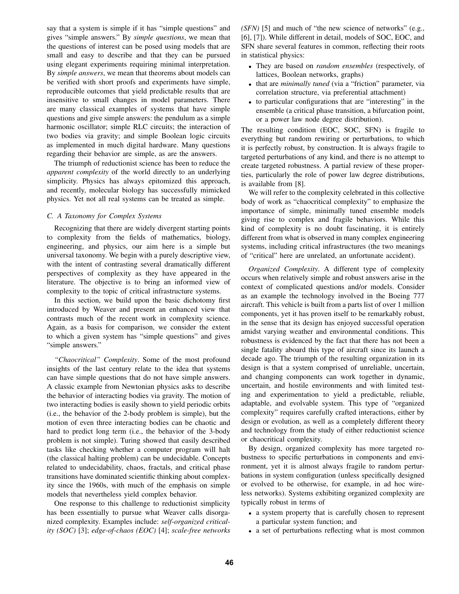say that a system is simple if it has "simple questions" and gives "simple answers." By *simple questions*, we mean that the questions of interest can be posed using models that are small and easy to describe and that they can be pursued using elegant experiments requiring minimal interpretation. By *simple answers*, we mean that theorems about models can be verified with short proofs and experiments have simple, reproducible outcomes that yield predictable results that are insensitive to small changes in model parameters. There are many classical examples of systems that have simple questions and give simple answers: the pendulum as a simple harmonic oscillator; simple RLC circuits; the interaction of two bodies via gravity; and simple Boolean logic circuits as implemented in much digital hardware. Many questions regarding their behavior are simple, as are the answers.

The triumph of reductionist science has been to reduce the *apparent complexity* of the world directly to an underlying simplicity. Physics has always epitomized this approach, and recently, molecular biology has successfully mimicked physics. Yet not all real systems can be treated as simple.

# *C. A Taxonomy for Complex Systems*

Recognizing that there are widely divergent starting points to complexity from the fields of mathematics, biology, engineering, and physics, our aim here is a simple but universal taxonomy. We begin with a purely descriptive view, with the intent of contrasting several dramatically different perspectives of complexity as they have appeared in the literature. The objective is to bring an informed view of complexity to the topic of critical infrastructure systems.

In this section, we build upon the basic dichotomy first introduced by Weaver and present an enhanced view that contrasts much of the recent work in complexity science. Again, as a basis for comparison, we consider the extent to which a given system has "simple questions" and gives "simple answers."

*"Chaocritical" Complexity*. Some of the most profound insights of the last century relate to the idea that systems can have simple questions that do not have simple answers. A classic example from Newtonian physics asks to describe the behavior of interacting bodies via gravity. The motion of two interacting bodies is easily shown to yield periodic orbits (i.e., the behavior of the 2-body problem is simple), but the motion of even three interacting bodies can be chaotic and hard to predict long term (i.e., the behavior of the 3-body problem is not simple). Turing showed that easily described tasks like checking whether a computer program will halt (the classical halting problem) can be undecidable. Concepts related to undecidability, chaos, fractals, and critical phase transitions have dominated scientific thinking about complexity since the 1960s, with much of the emphasis on simple models that nevertheless yield complex behavior.

One response to this challenge to reductionist simplicity has been essentially to pursue what Weaver calls disorganized complexity. Examples include: *self-organized criticality (SOC)* [3]; *edge-of-chaos (EOC)* [4]; *scale-free networks* *(SFN)* [5] and much of "the new science of networks" (e.g., [6], [7]). While different in detail, models of SOC, EOC, and SFN share several features in common, reflecting their roots in statistical physics:

- *•* They are based on *random ensembles* (respectively, of lattices, Boolean networks, graphs)
- *•* that are *minimally tuned* (via a "friction" parameter, via correlation structure, via preferential attachment)
- to particular configurations that are "interesting" in the ensemble (a critical phase transition, a bifurcation point, or a power law node degree distribution).

The resulting condition (EOC, SOC, SFN) is fragile to everything but random rewiring or perturbations, to which it is perfectly robust, by construction. It is always fragile to targeted perturbations of any kind, and there is no attempt to create targeted robustness. A partial review of these properties, particularly the role of power law degree distributions, is available from [8].

We will refer to the complexity celebrated in this collective body of work as "chaocritical complexity" to emphasize the importance of simple, minimally tuned ensemble models giving rise to complex and fragile behaviors. While this kind of complexity is no doubt fascinating, it is entirely different from what is observed in many complex engineering systems, including critical infrastructures (the two meanings of "critical" here are unrelated, an unfortunate accident).

*Organized Complexity*. A different type of complexity occurs when relatively simple and robust answers arise in the context of complicated questions and/or models. Consider as an example the technology involved in the Boeing 777 aircraft. This vehicle is built from a parts list of over 1 million components, yet it has proven itself to be remarkably robust, in the sense that its design has enjoyed successful operation amidst varying weather and environmental conditions. This robustness is evidenced by the fact that there has not been a single fatality aboard this type of aircraft since its launch a decade ago. The triumph of the resulting organization in its design is that a system comprised of unreliable, uncertain, and changing components can work together in dynamic, uncertain, and hostile environments and with limited testing and experimentation to yield a predictable, reliable, adaptable, and evolvable system. This type of "organized complexity" requires carefully crafted interactions, either by design or evolution, as well as a completely different theory and technology from the study of either reductionist science or chaocritical complexity.

By design, organized complexity has more targeted robustness to specific perturbations in components and environment, yet it is almost always fragile to random perturbations in system configuration (unless specifically designed or evolved to be otherwise, for example, in ad hoc wireless networks). Systems exhibiting organized complexity are typically robust in terms of

- *•* a system property that is carefully chosen to represent a particular system function; and
- a set of perturbations reflecting what is most common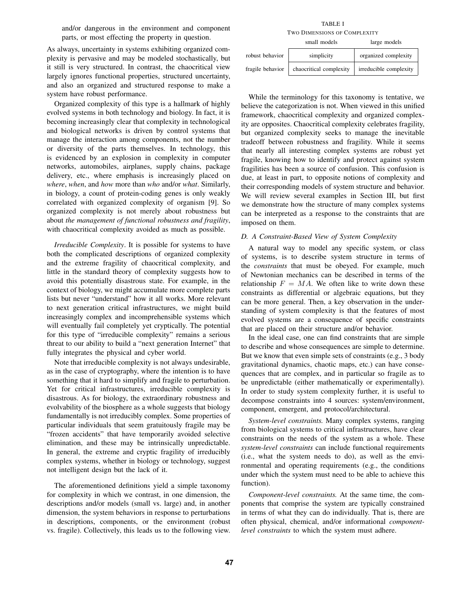and/or dangerous in the environment and component parts, or most effecting the property in question.

As always, uncertainty in systems exhibiting organized complexity is pervasive and may be modeled stochastically, but it still is very structured. In contrast, the chaocritical view largely ignores functional properties, structured uncertainty, and also an organized and structured response to make a system have robust performance.

Organized complexity of this type is a hallmark of highly evolved systems in both technology and biology. In fact, it is becoming increasingly clear that complexity in technological and biological networks is driven by control systems that manage the interaction among components, not the number or diversity of the parts themselves. In technology, this is evidenced by an explosion in complexity in computer networks, automobiles, airplanes, supply chains, package delivery, etc., where emphasis is increasingly placed on *where*, *when*, and *how* more than *who* and/or *what*. Similarly, in biology, a count of protein-coding genes is only weakly correlated with organized complexity of organism [9]. So organized complexity is not merely about robustness but about *the management of functional robustness and fragility*, with chaocritical complexity avoided as much as possible.

*Irreducible Complexity*. It is possible for systems to have both the complicated descriptions of organized complexity and the extreme fragility of chaocritical complexity, and little in the standard theory of complexity suggests how to avoid this potentially disastrous state. For example, in the context of biology, we might accumulate more complete parts lists but never "understand" how it all works. More relevant to next generation critical infrastructures, we might build increasingly complex and incomprehensible systems which will eventually fail completely yet cryptically. The potential for this type of "irreducible complexity" remains a serious threat to our ability to build a "next generation Internet" that fully integrates the physical and cyber world.

Note that irreducible complexity is not always undesirable, as in the case of cryptography, where the intention is to have something that it hard to simplify and fragile to perturbation. Yet for critical infrastructures, irreducible complexity is disastrous. As for biology, the extraordinary robustness and evolvability of the biosphere as a whole suggests that biology fundamentally is not irreducibly complex. Some properties of particular individuals that seem gratuitously fragile may be "frozen accidents" that have temporarily avoided selective elimination, and these may be intrinsically unpredictable. In general, the extreme and cryptic fragility of irreducibly complex systems, whether in biology or technology, suggest not intelligent design but the lack of it.

The aforementioned definitions yield a simple taxonomy for complexity in which we contrast, in one dimension, the descriptions and/or models (small vs. large) and, in another dimension, the system behaviors in response to perturbations in descriptions, components, or the environment (robust vs. fragile). Collectively, this leads us to the following view.

TABLE I TWO DIMENSIONS OF COMPLEXITY

|                  | small models            | large models           |
|------------------|-------------------------|------------------------|
| robust behavior  | simplicity              | organized complexity   |
| fragile behavior | chaocritical complexity | irreducible complexity |

While the terminology for this taxonomy is tentative, we believe the categorization is not. When viewed in this unified framework, chaocritical complexity and organized complexity are opposites. Chaocritical complexity celebrates fragility, but organized complexity seeks to manage the inevitable tradeoff between robustness and fragility. While it seems that nearly all interesting complex systems are robust yet fragile, knowing how to identify and protect against system fragilities has been a source of confusion. This confusion is due, at least in part, to opposite notions of complexity and their corresponding models of system structure and behavior. We will review several examples in Section III, but first we demonstrate how the structure of many complex systems can be interpreted as a response to the constraints that are imposed on them.

## *D. A Constraint-Based View of System Complexity*

A natural way to model any specific system, or class of systems, is to describe system structure in terms of the *constraints* that must be obeyed. For example, much of Newtonian mechanics can be described in terms of the relationship  $F = MA$ . We often like to write down these constraints as differential or algebraic equations, but they can be more general. Then, a key observation in the understanding of system complexity is that the features of most evolved systems are a consequence of specific constraints that are placed on their structure and/or behavior.

In the ideal case, one can find constraints that are simple to describe and whose consequences are simple to determine. But we know that even simple sets of constraints (e.g., 3 body gravitational dynamics, chaotic maps, etc.) can have consequences that are complex, and in particular so fragile as to be unpredictable (either mathematically or experimentally). In order to study system complexity further, it is useful to decompose constraints into 4 sources: system/environment, component, emergent, and protocol/architectural.

*System-level constraints.* Many complex systems, ranging from biological systems to critical infrastructures, have clear constraints on the needs of the system as a whole. These *system-level constraints* can include functional requirements (i.e., what the system needs to do), as well as the environmental and operating requirements (e.g., the conditions under which the system must need to be able to achieve this function).

*Component-level constraints.* At the same time, the components that comprise the system are typically constrained in terms of what they can do individually. That is, there are often physical, chemical, and/or informational *componentlevel constraints* to which the system must adhere.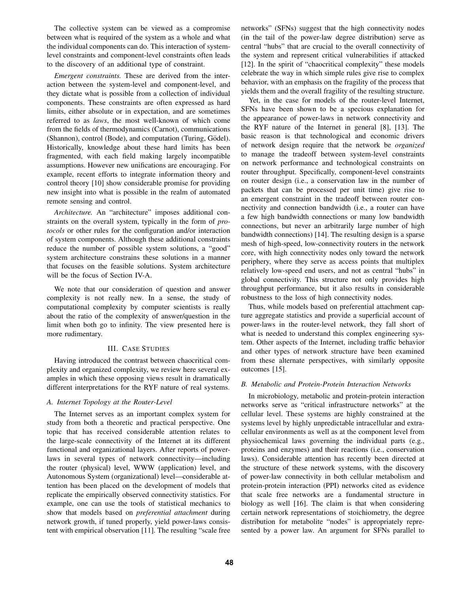The collective system can be viewed as a compromise between what is required of the system as a whole and what the individual components can do. This interaction of systemlevel constraints and component-level constraints often leads to the discovery of an additional type of constraint.

*Emergent constraints.* These are derived from the interaction between the system-level and component-level, and they dictate what is possible from a collection of individual components. These constraints are often expressed as hard limits, either absolute or in expectation, and are sometimes referred to as *laws*, the most well-known of which come from the fields of thermodynamics (Carnot), communications (Shannon), control (Bode), and computation (Turing, Gödel). Historically, knowledge about these hard limits has been fragmented, with each field making largely incompatible assumptions. However new unifications are encouraging. For example, recent efforts to integrate information theory and control theory [10] show considerable promise for providing new insight into what is possible in the realm of automated remote sensing and control.

*Architecture.* An "architecture" imposes additional constraints on the overall system, typically in the form of *protocols* or other rules for the configuration and/or interaction of system components. Although these additional constraints reduce the number of possible system solutions, a "good" system architecture constrains these solutions in a manner that focuses on the feasible solutions. System architecture will be the focus of Section IV-A.

We note that our consideration of question and answer complexity is not really new. In a sense, the study of computational complexity by computer scientists is really about the ratio of the complexity of answer/question in the limit when both go to infinity. The view presented here is more rudimentary.

## III. CASE STUDIES

Having introduced the contrast between chaocritical complexity and organized complexity, we review here several examples in which these opposing views result in dramatically different interpretations for the RYF nature of real systems.

# *A. Internet Topology at the Router-Level*

The Internet serves as an important complex system for study from both a theoretic and practical perspective. One topic that has received considerable attention relates to the large-scale connectivity of the Internet at its different functional and organizational layers. After reports of powerlaws in several types of network connectivity—including the router (physical) level, WWW (application) level, and Autonomous System (organizational) level—considerable attention has been placed on the development of models that replicate the empirically observed connectivity statistics. For example, one can use the tools of statistical mechanics to show that models based on *preferential attachment* during network growth, if tuned properly, yield power-laws consistent with empirical observation [11]. The resulting "scale free networks" (SFNs) suggest that the high connectivity nodes (in the tail of the power-law degree distribution) serve as central "hubs" that are crucial to the overall connectivity of the system and represent critical vulnerabilities if attacked [12]. In the spirit of "chaocritical complexity" these models celebrate the way in which simple rules give rise to complex behavior, with an emphasis on the fragility of the process that yields them and the overall fragility of the resulting structure.

Yet, in the case for models of the router-level Internet, SFNs have been shown to be a specious explanation for the appearance of power-laws in network connectivity and the RYF nature of the Internet in general [8], [13]. The basic reason is that technological and economic drivers of network design require that the network be *organized* to manage the tradeoff between system-level constraints on network performance and technological constraints on router throughput. Specifically, component-level constraints on router design (i.e., a conservation law in the number of packets that can be processed per unit time) give rise to an emergent constraint in the tradeoff between router connectivity and connection bandwidth (i.e., a router can have a few high bandwidth connections or many low bandwidth connections, but never an arbitrarily large number of high bandwidth connections) [14]. The resulting design is a sparse mesh of high-speed, low-connectivity routers in the network core, with high connectivity nodes only toward the network periphery, where they serve as access points that multiplex relatively low-speed end users, and not as central "hubs" in global connectivity. This structure not only provides high throughput performance, but it also results in considerable robustness to the loss of high connectivity nodes.

Thus, while models based on preferential attachment capture aggregate statistics and provide a superficial account of power-laws in the router-level network, they fall short of what is needed to understand this complex engineering system. Other aspects of the Internet, including traffic behavior and other types of network structure have been examined from these alternate perspectives, with similarly opposite outcomes [15].

# *B. Metabolic and Protein-Protein Interaction Networks*

In microbiology, metabolic and protein-protein interaction networks serve as "critical infrastructure networks" at the cellular level. These systems are highly constrained at the systems level by highly unpredictable intracellular and extracellular environments as well as at the component level from physiochemical laws governing the individual parts (e.g., proteins and enzymes) and their reactions (i.e., conservation laws). Considerable attention has recently been directed at the structure of these network systems, with the discovery of power-law connectivity in both cellular metabolism and protein-protein interaction (PPI) networks cited as evidence that scale free networks are a fundamental structure in biology as well [16]. The claim is that when considering certain network representations of stoichiometry, the degree distribution for metabolite "nodes" is appropriately represented by a power law. An argument for SFNs parallel to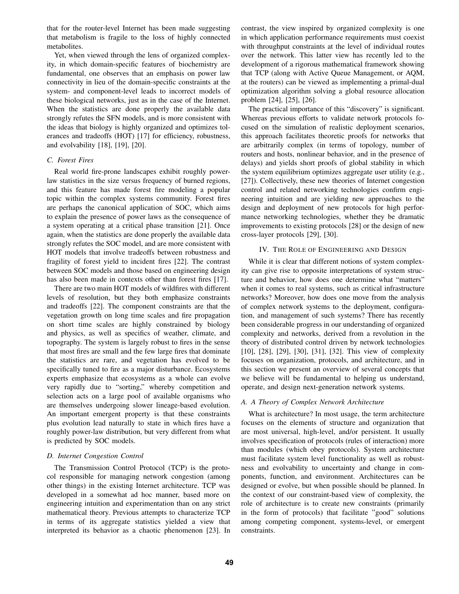that for the router-level Internet has been made suggesting that metabolism is fragile to the loss of highly connected metabolites.

Yet, when viewed through the lens of organized complexity, in which domain-specific features of biochemistry are fundamental, one observes that an emphasis on power law connectivity in lieu of the domain-specific constraints at the system- and component-level leads to incorrect models of these biological networks, just as in the case of the Internet. When the statistics are done properly the available data strongly refutes the SFN models, and is more consistent with the ideas that biology is highly organized and optimizes tolerances and tradeoffs (HOT) [17] for efficiency, robustness, and evolvability [18], [19], [20].

# *C. Forest Fires*

Real world fire-prone landscapes exhibit roughly powerlaw statistics in the size versus frequency of burned regions, and this feature has made forest fire modeling a popular topic within the complex systems community. Forest fires are perhaps the canonical application of SOC, which aims to explain the presence of power laws as the consequence of a system operating at a critical phase transition [21]. Once again, when the statistics are done properly the available data strongly refutes the SOC model, and are more consistent with HOT models that involve tradeoffs between robustness and fragility of forest yield to incident fires [22]. The contrast between SOC models and those based on engineering design has also been made in contexts other than forest fires [17].

There are two main HOT models of wildfires with different levels of resolution, but they both emphasize constraints and tradeoffs [22]. The component constraints are that the vegetation growth on long time scales and fire propagation on short time scales are highly constrained by biology and physics, as well as specifics of weather, climate, and topography. The system is largely robust to fires in the sense that most fires are small and the few large fires that dominate the statistics are rare, and vegetation has evolved to be specifically tuned to fire as a major disturbance. Ecosystems experts emphasize that ecosystems as a whole can evolve very rapidly due to "sorting," whereby competition and selection acts on a large pool of available organisms who are themselves undergoing slower lineage-based evolution. An important emergent property is that these constraints plus evolution lead naturally to state in which fires have a roughly power-law distribution, but very different from what is predicted by SOC models.

#### *D. Internet Congestion Control*

The Transmission Control Protocol (TCP) is the protocol responsible for managing network congestion (among other things) in the existing Internet architecture. TCP was developed in a somewhat ad hoc manner, based more on engineering intuition and experimentation than on any strict mathematical theory. Previous attempts to characterize TCP in terms of its aggregate statistics yielded a view that interpreted its behavior as a chaotic phenomenon [23]. In contrast, the view inspired by organized complexity is one in which application performance requirements must coexist with throughput constraints at the level of individual routes over the network. This latter view has recently led to the development of a rigorous mathematical framework showing that TCP (along with Active Queue Management, or AQM, at the routers) can be viewed as implementing a primal-dual optimization algorithm solving a global resource allocation problem [24], [25], [26].

The practical importance of this "discovery" is significant. Whereas previous efforts to validate network protocols focused on the simulation of realistic deployment scenarios, this approach facilitates theoretic proofs for networks that are arbitrarily complex (in terms of topology, number of routers and hosts, nonlinear behavior, and in the presence of delays) and yields short proofs of global stability in which the system equilibrium optimizes aggregate user utility (e.g., [27]). Collectively, these new theories of Internet congestion control and related networking technologies confirm engineering intuition and are yielding new approaches to the design and deployment of new protocols for high performance networking technologies, whether they be dramatic improvements to existing protocols [28] or the design of new cross-layer protocols [29], [30].

# IV. THE ROLE OF ENGINEERING AND DESIGN

While it is clear that different notions of system complexity can give rise to opposite interpretations of system structure and behavior, how does one determine what "matters" when it comes to real systems, such as critical infrastructure networks? Moreover, how does one move from the analysis of complex network systems to the deployment, configuration, and management of such systems? There has recently been considerable progress in our understanding of organized complexity and networks, derived from a revolution in the theory of distributed control driven by network technologies [10], [28], [29], [30], [31], [32]. This view of complexity focuses on organization, protocols, and architecture, and in this section we present an overview of several concepts that we believe will be fundamental to helping us understand, operate, and design next-generation network systems.

## *A. A Theory of Complex Network Architecture*

What is architecture? In most usage, the term architecture focuses on the elements of structure and organization that are most universal, high-level, and/or persistent. It usually involves specification of protocols (rules of interaction) more than modules (which obey protocols). System architecture must facilitate system level functionality as well as robustness and evolvability to uncertainty and change in components, function, and environment. Architectures can be designed or evolve, but when possible should be planned. In the context of our constraint-based view of complexity, the role of architecture is to create new constraints (primarily in the form of protocols) that facilitate "good" solutions among competing component, systems-level, or emergent constraints.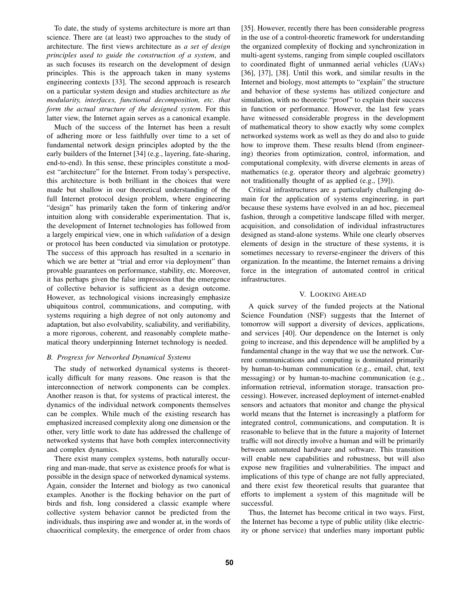To date, the study of systems architecture is more art than science. There are (at least) two approaches to the study of architecture. The first views architecture as *a set of design principles used to guide the construction of a system*, and as such focuses its research on the development of design principles. This is the approach taken in many systems engineering contexts [33]. The second approach is research on a particular system design and studies architecture as *the modularity, interfaces, functional decomposition, etc. that form the actual structure of the designed system*. For this latter view, the Internet again serves as a canonical example.

Much of the success of the Internet has been a result of adhering more or less faithfully over time to a set of fundamental network design principles adopted by the the early builders of the Internet [34] (e.g., layering, fate-sharing, end-to-end). In this sense, these principles constitute a modest "architecture" for the Internet. From today's perspective, this architecture is both brilliant in the choices that were made but shallow in our theoretical understanding of the full Internet protocol design problem, where engineering "design" has primarily taken the form of tinkering and/or intuition along with considerable experimentation. That is, the development of Internet technologies has followed from a largely empirical view, one in which *validation* of a design or protocol has been conducted via simulation or prototype. The success of this approach has resulted in a scenario in which we are better at "trial and error via deployment" than provable guarantees on performance, stability, etc. Moreover, it has perhaps given the false impression that the emergence of collective behavior is sufficient as a design outcome. However, as technological visions increasingly emphasize ubiquitous control, communications, and computing, with systems requiring a high degree of not only autonomy and adaptation, but also evolvability, scaliability, and verifiability, a more rigorous, coherent, and reasonably complete mathematical theory underpinning Internet technology is needed.

# *B. Progress for Networked Dynamical Systems*

The study of networked dynamical systems is theoretically difficult for many reasons. One reason is that the interconnection of network components can be complex. Another reason is that, for systems of practical interest, the dynamics of the individual network components themselves can be complex. While much of the existing research has emphasized increased complexity along one dimension or the other, very little work to date has addressed the challenge of networked systems that have both complex interconnectivity and complex dynamics.

There exist many complex systems, both naturally occurring and man-made, that serve as existence proofs for what is possible in the design space of networked dynamical systems. Again, consider the Internet and biology as two canonical examples. Another is the flocking behavior on the part of birds and fish, long considered a classic example where collective system behavior cannot be predicted from the individuals, thus inspiring awe and wonder at, in the words of chaocritical complexity, the emergence of order from chaos [35]. However, recently there has been considerable progress in the use of a control-theoretic framework for understanding the organized complexity of flocking and synchronization in multi-agent systems, ranging from simple coupled oscillators to coordinated flight of unmanned aerial vehicles (UAVs) [36], [37], [38]. Until this work, and similar results in the Internet and biology, most attempts to "explain" the structure and behavior of these systems has utilized conjecture and simulation, with no theoretic "proof" to explain their success in function or performance. However, the last few years have witnessed considerable progress in the development of mathematical theory to show exactly why some complex networked systems work as well as they do and also to guide how to improve them. These results blend (from engineering) theories from optimization, control, information, and computational complexity, with diverse elements in areas of mathematics (e.g. operator theory and algebraic geometry) not traditionally thought of as applied (e.g., [39]).

Critical infrastructures are a particularly challenging domain for the application of systems engineering, in part because these systems have evolved in an ad hoc, piecemeal fashion, through a competitive landscape filled with merger, acquisition, and consolidation of individual infrastructures designed as stand-alone systems. While one clearly observes elements of design in the structure of these systems, it is sometimes necessary to reverse-engineer the drivers of this organization. In the meantime, the Internet remains a driving force in the integration of automated control in critical infrastructures.

#### V. LOOKING AHEAD

A quick survey of the funded projects at the National Science Foundation (NSF) suggests that the Internet of tomorrow will support a diversity of devices, applications, and services [40]. Our dependence on the Internet is only going to increase, and this dependence will be amplified by a fundamental change in the way that we use the network. Current communications and computing is dominated primarily by human-to-human communication (e.g., email, chat, text messaging) or by human-to-machine communication (e.g., information retrieval, information storage, transaction processing). However, increased deployment of internet-enabled sensors and actuators that monitor and change the physical world means that the Internet is increasingly a platform for integrated control, communications, and computation. It is reasonable to believe that in the future a majority of Internet traffic will not directly involve a human and will be primarily between automated hardware and software. This transition will enable new capabilities and robustness, but will also expose new fragilities and vulnerabilities. The impact and implications of this type of change are not fully appreciated, and there exist few theoretical results that guarantee that efforts to implement a system of this magnitude will be successful.

Thus, the Internet has become critical in two ways. First, the Internet has become a type of public utility (like electricity or phone service) that underlies many important public